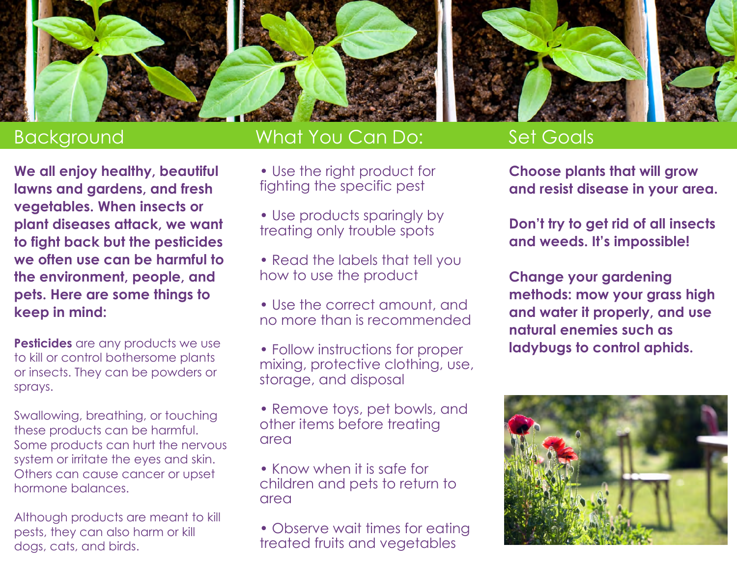

## Background

**We all enjoy healthy, beautiful lawns and gardens, and fresh vegetables. When insects or plant diseases attack, we want to fight back but the pesticides we often use can be harmful to the environment, people, and pets. Here are some things to keep in mind:**

**Pesticides** are any products we use to kill or control bothersome plants or insects. They can be powders or sprays.

Swallowing, breathing, or touching these products can be harmful. Some products can hurt the nervous system or irritate the eyes and skin. Others can cause cancer or upset hormone balances.

Although products are meant to kill pests, they can also harm or kill dogs, cats, and birds.

### What You Can Do:

- Use the right product for fighting the specific pest
- Use products sparingly by treating only trouble spots
- Read the labels that tell you how to use the product
- Use the correct amount, and no more than is recommended
- Follow instructions for proper mixing, protective clothing, use, storage, and disposal
- Remove toys, pet bowls, and other items before treating area
- Know when it is safe for children and pets to return to area
- Observe wait times for eating treated fruits and vegetables

### Set Goals

**Choose plants that will grow and resist disease in your area.**

**Don't try to get rid of all insects and weeds. It's impossible!**

**Change your gardening methods: mow your grass high and water it properly, and use natural enemies such as ladybugs to control aphids.**